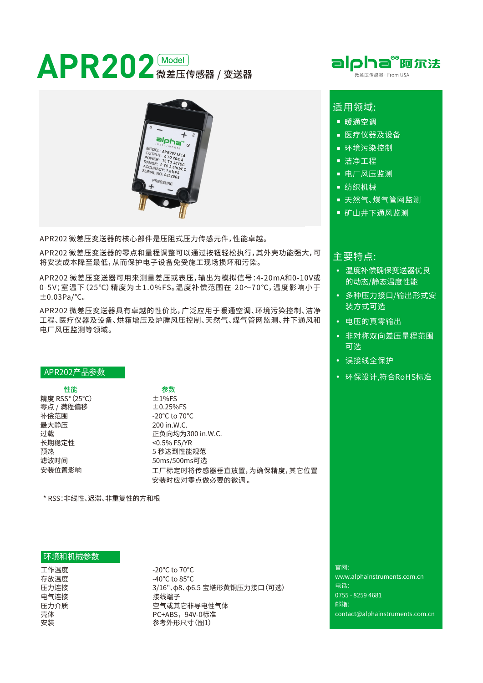# **APR202** 微差压传感器 / 变送器



APR202 微差压变送器的核心部件是压阻式压力传感元件,性能卓越。

APR202 微差压变送器的零点和量程调整可以通过按钮轻松执行,其外壳功能强大,可 将安装成本降至最低,从而保护电子设备免受施工现场损坏和污染。

APR202 微差压变送器可用来测量差压或表压,输出为模拟信号:4-20mA和0-10V或 0 -5V;室温下(25℃)精度为±1.0%FS。温度补偿范围在-20〜70℃,温度影响⼩于 ±0.03Pa/℃。

APR202 微差压变送器具有卓越的性价比,广泛应用于暖通空调、环境污染控制、洁净 工程、医疗仪器及设备、烘箱增压及炉膛风压控制、天然气、煤气管网监测、井下通风和 电厂风压监测等领域。

#### APR202产品参数

性能 さんしょう ちゅうかん 参数 精度 RSS\*(25℃)  $±1%FS$ 零点 / 满程偏移 <u>to.25%FS</u> 补偿范围 -20℃ to 70℃ 最⼤静压 200 in.W.C. ⻓期稳定性 <0.5%FS/YR 安装位置影响

过载  **正负向均为300 in.W.C.** 预热 5 秒达到性能规范 工厂标定时将传感器垂直放置,为确保精度,其它位置 安装时应对零点做必要的微调。 滤波时间 60ms/500ms可选

\* RSS:非线性、迟滞、非重复性的方和根

## 环境和机械参数

⼯作温度 存放温度 压力连接 电气连接 压力介质 壳体 安装

 $-20^{\circ}$ C to  $70^{\circ}$ C -40 $^{\circ}$ C to 85 $^{\circ}$ C 3/16"、φ8、φ6.5 宝塔形黄铜压力接口 (可选) 接线端子 空气或其它非导电性气体 PC+ABS,94V-0标准 参考外形尺寸(图1)

官网: www.alphainstruments.com.cn 电话: 0755-82594681 邮箱: contact@alphainstruments.com.cn



## 话用领域:

- 暖通空调
- 医疗仪器及设备
- 环境污染控制
- 洁净工程
- 电厂风压监测
- 纺织机械
- 天然气、煤气管网监测
- 矿山井下通风监测

## 主要特点:

- 温度补偿确保变送器优良 的动态/静态温度性能
- 多种压力接口/输出形式安 装方式可选
- 电压的真零输出
- 非对称双向差压量程范围 可选
- 误接线全保护
- 环保设计,符合RoHS标准